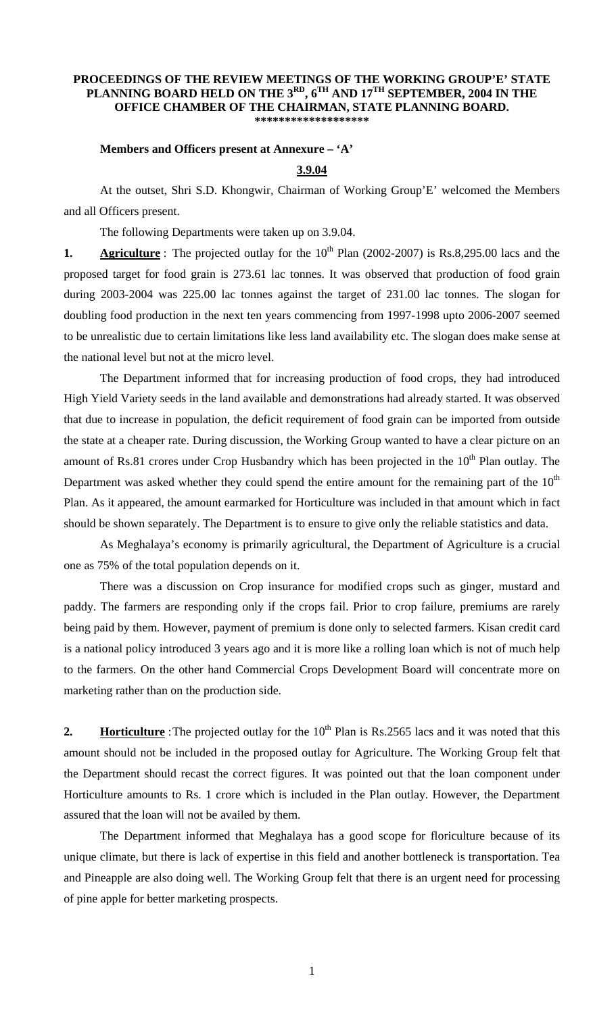### **PROCEEDINGS OF THE REVIEW MEETINGS OF THE WORKING GROUP'E' STATE PLANNING BOARD HELD ON THE 3RD, 6TH AND 17TH SEPTEMBER, 2004 IN THE OFFICE CHAMBER OF THE CHAIRMAN, STATE PLANNING BOARD. \*\*\*\*\*\*\*\*\*\*\*\*\*\*\*\*\*\*\***

### **Members and Officers present at Annexure – 'A'**

# **3.9.04**

 At the outset, Shri S.D. Khongwir, Chairman of Working Group'E' welcomed the Members and all Officers present.

The following Departments were taken up on 3.9.04.

**1. Agriculture**: The projected outlay for the 10<sup>th</sup> Plan (2002-2007) is Rs.8,295.00 lacs and the proposed target for food grain is 273.61 lac tonnes. It was observed that production of food grain during 2003-2004 was 225.00 lac tonnes against the target of 231.00 lac tonnes. The slogan for doubling food production in the next ten years commencing from 1997-1998 upto 2006-2007 seemed to be unrealistic due to certain limitations like less land availability etc. The slogan does make sense at the national level but not at the micro level.

 The Department informed that for increasing production of food crops, they had introduced High Yield Variety seeds in the land available and demonstrations had already started. It was observed that due to increase in population, the deficit requirement of food grain can be imported from outside the state at a cheaper rate. During discussion, the Working Group wanted to have a clear picture on an amount of Rs.81 crores under Crop Husbandry which has been projected in the 10<sup>th</sup> Plan outlay. The Department was asked whether they could spend the entire amount for the remaining part of the  $10<sup>th</sup>$ Plan. As it appeared, the amount earmarked for Horticulture was included in that amount which in fact should be shown separately. The Department is to ensure to give only the reliable statistics and data.

 As Meghalaya's economy is primarily agricultural, the Department of Agriculture is a crucial one as 75% of the total population depends on it.

 There was a discussion on Crop insurance for modified crops such as ginger, mustard and paddy. The farmers are responding only if the crops fail. Prior to crop failure, premiums are rarely being paid by them. However, payment of premium is done only to selected farmers. Kisan credit card is a national policy introduced 3 years ago and it is more like a rolling loan which is not of much help to the farmers. On the other hand Commercial Crops Development Board will concentrate more on marketing rather than on the production side.

**2. Horticulture**: The projected outlay for the  $10<sup>th</sup>$  Plan is Rs.2565 lacs and it was noted that this amount should not be included in the proposed outlay for Agriculture. The Working Group felt that the Department should recast the correct figures. It was pointed out that the loan component under Horticulture amounts to Rs. 1 crore which is included in the Plan outlay. However, the Department assured that the loan will not be availed by them.

 The Department informed that Meghalaya has a good scope for floriculture because of its unique climate, but there is lack of expertise in this field and another bottleneck is transportation. Tea and Pineapple are also doing well. The Working Group felt that there is an urgent need for processing of pine apple for better marketing prospects.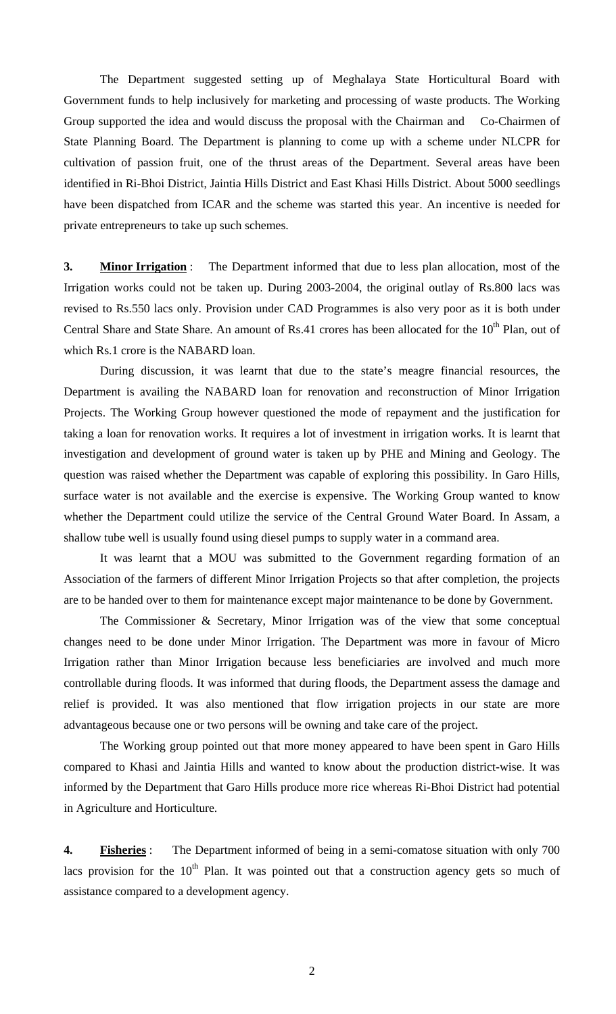The Department suggested setting up of Meghalaya State Horticultural Board with Government funds to help inclusively for marketing and processing of waste products. The Working Group supported the idea and would discuss the proposal with the Chairman and Co-Chairmen of State Planning Board. The Department is planning to come up with a scheme under NLCPR for cultivation of passion fruit, one of the thrust areas of the Department. Several areas have been identified in Ri-Bhoi District, Jaintia Hills District and East Khasi Hills District. About 5000 seedlings have been dispatched from ICAR and the scheme was started this year. An incentive is needed for private entrepreneurs to take up such schemes.

**3. Minor Irrigation** : The Department informed that due to less plan allocation, most of the Irrigation works could not be taken up. During 2003-2004, the original outlay of Rs.800 lacs was revised to Rs.550 lacs only. Provision under CAD Programmes is also very poor as it is both under Central Share and State Share. An amount of Rs.41 crores has been allocated for the 10<sup>th</sup> Plan, out of which Rs.1 crore is the NABARD loan.

 During discussion, it was learnt that due to the state's meagre financial resources, the Department is availing the NABARD loan for renovation and reconstruction of Minor Irrigation Projects. The Working Group however questioned the mode of repayment and the justification for taking a loan for renovation works. It requires a lot of investment in irrigation works. It is learnt that investigation and development of ground water is taken up by PHE and Mining and Geology. The question was raised whether the Department was capable of exploring this possibility. In Garo Hills, surface water is not available and the exercise is expensive. The Working Group wanted to know whether the Department could utilize the service of the Central Ground Water Board. In Assam, a shallow tube well is usually found using diesel pumps to supply water in a command area.

 It was learnt that a MOU was submitted to the Government regarding formation of an Association of the farmers of different Minor Irrigation Projects so that after completion, the projects are to be handed over to them for maintenance except major maintenance to be done by Government.

 The Commissioner & Secretary, Minor Irrigation was of the view that some conceptual changes need to be done under Minor Irrigation. The Department was more in favour of Micro Irrigation rather than Minor Irrigation because less beneficiaries are involved and much more controllable during floods. It was informed that during floods, the Department assess the damage and relief is provided. It was also mentioned that flow irrigation projects in our state are more advantageous because one or two persons will be owning and take care of the project.

 The Working group pointed out that more money appeared to have been spent in Garo Hills compared to Khasi and Jaintia Hills and wanted to know about the production district-wise. It was informed by the Department that Garo Hills produce more rice whereas Ri-Bhoi District had potential in Agriculture and Horticulture.

**4. Fisheries** : The Department informed of being in a semi-comatose situation with only 700 lacs provision for the  $10<sup>th</sup>$  Plan. It was pointed out that a construction agency gets so much of assistance compared to a development agency.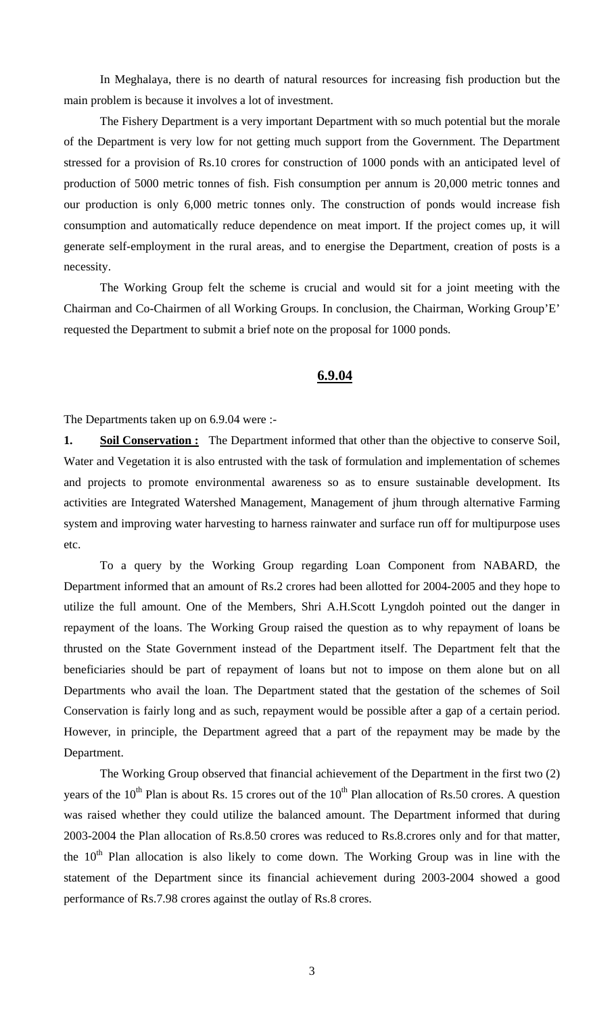In Meghalaya, there is no dearth of natural resources for increasing fish production but the main problem is because it involves a lot of investment.

 The Fishery Department is a very important Department with so much potential but the morale of the Department is very low for not getting much support from the Government. The Department stressed for a provision of Rs.10 crores for construction of 1000 ponds with an anticipated level of production of 5000 metric tonnes of fish. Fish consumption per annum is 20,000 metric tonnes and our production is only 6,000 metric tonnes only. The construction of ponds would increase fish consumption and automatically reduce dependence on meat import. If the project comes up, it will generate self-employment in the rural areas, and to energise the Department, creation of posts is a necessity.

 The Working Group felt the scheme is crucial and would sit for a joint meeting with the Chairman and Co-Chairmen of all Working Groups. In conclusion, the Chairman, Working Group'E' requested the Department to submit a brief note on the proposal for 1000 ponds.

## **6.9.04**

The Departments taken up on 6.9.04 were :-

**1. Soil Conservation :** The Department informed that other than the objective to conserve Soil, Water and Vegetation it is also entrusted with the task of formulation and implementation of schemes and projects to promote environmental awareness so as to ensure sustainable development. Its activities are Integrated Watershed Management, Management of jhum through alternative Farming system and improving water harvesting to harness rainwater and surface run off for multipurpose uses etc.

 To a query by the Working Group regarding Loan Component from NABARD, the Department informed that an amount of Rs.2 crores had been allotted for 2004-2005 and they hope to utilize the full amount. One of the Members, Shri A.H.Scott Lyngdoh pointed out the danger in repayment of the loans. The Working Group raised the question as to why repayment of loans be thrusted on the State Government instead of the Department itself. The Department felt that the beneficiaries should be part of repayment of loans but not to impose on them alone but on all Departments who avail the loan. The Department stated that the gestation of the schemes of Soil Conservation is fairly long and as such, repayment would be possible after a gap of a certain period. However, in principle, the Department agreed that a part of the repayment may be made by the Department.

 The Working Group observed that financial achievement of the Department in the first two (2) years of the  $10^{th}$  Plan is about Rs. 15 crores out of the  $10^{th}$  Plan allocation of Rs.50 crores. A question was raised whether they could utilize the balanced amount. The Department informed that during 2003-2004 the Plan allocation of Rs.8.50 crores was reduced to Rs.8.crores only and for that matter, the  $10<sup>th</sup>$  Plan allocation is also likely to come down. The Working Group was in line with the statement of the Department since its financial achievement during 2003-2004 showed a good performance of Rs.7.98 crores against the outlay of Rs.8 crores.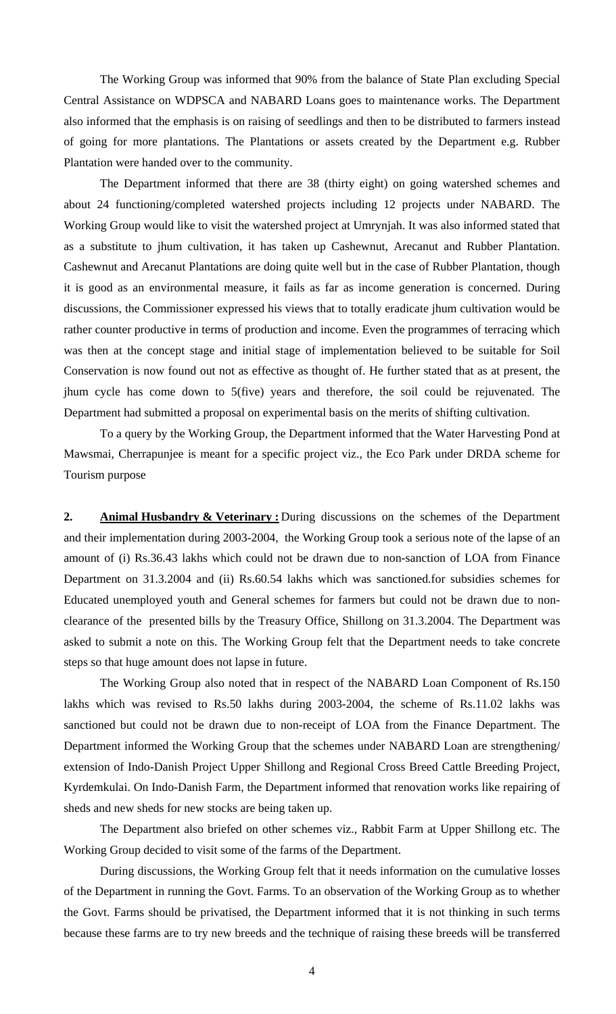The Working Group was informed that 90% from the balance of State Plan excluding Special Central Assistance on WDPSCA and NABARD Loans goes to maintenance works. The Department also informed that the emphasis is on raising of seedlings and then to be distributed to farmers instead of going for more plantations. The Plantations or assets created by the Department e.g. Rubber Plantation were handed over to the community.

 The Department informed that there are 38 (thirty eight) on going watershed schemes and about 24 functioning/completed watershed projects including 12 projects under NABARD. The Working Group would like to visit the watershed project at Umrynjah. It was also informed stated that as a substitute to jhum cultivation, it has taken up Cashewnut, Arecanut and Rubber Plantation. Cashewnut and Arecanut Plantations are doing quite well but in the case of Rubber Plantation, though it is good as an environmental measure, it fails as far as income generation is concerned. During discussions, the Commissioner expressed his views that to totally eradicate jhum cultivation would be rather counter productive in terms of production and income. Even the programmes of terracing which was then at the concept stage and initial stage of implementation believed to be suitable for Soil Conservation is now found out not as effective as thought of. He further stated that as at present, the jhum cycle has come down to 5(five) years and therefore, the soil could be rejuvenated. The Department had submitted a proposal on experimental basis on the merits of shifting cultivation.

 To a query by the Working Group, the Department informed that the Water Harvesting Pond at Mawsmai, Cherrapunjee is meant for a specific project viz., the Eco Park under DRDA scheme for Tourism purpose

**2. Animal Husbandry & Veterinary :** During discussions on the schemes of the Department and their implementation during 2003-2004, the Working Group took a serious note of the lapse of an amount of (i) Rs.36.43 lakhs which could not be drawn due to non-sanction of LOA from Finance Department on 31.3.2004 and (ii) Rs.60.54 lakhs which was sanctioned.for subsidies schemes for Educated unemployed youth and General schemes for farmers but could not be drawn due to nonclearance of the presented bills by the Treasury Office, Shillong on 31.3.2004. The Department was asked to submit a note on this. The Working Group felt that the Department needs to take concrete steps so that huge amount does not lapse in future.

 The Working Group also noted that in respect of the NABARD Loan Component of Rs.150 lakhs which was revised to Rs.50 lakhs during 2003-2004, the scheme of Rs.11.02 lakhs was sanctioned but could not be drawn due to non-receipt of LOA from the Finance Department. The Department informed the Working Group that the schemes under NABARD Loan are strengthening/ extension of Indo-Danish Project Upper Shillong and Regional Cross Breed Cattle Breeding Project, Kyrdemkulai. On Indo-Danish Farm, the Department informed that renovation works like repairing of sheds and new sheds for new stocks are being taken up.

 The Department also briefed on other schemes viz., Rabbit Farm at Upper Shillong etc. The Working Group decided to visit some of the farms of the Department.

 During discussions, the Working Group felt that it needs information on the cumulative losses of the Department in running the Govt. Farms. To an observation of the Working Group as to whether the Govt. Farms should be privatised, the Department informed that it is not thinking in such terms because these farms are to try new breeds and the technique of raising these breeds will be transferred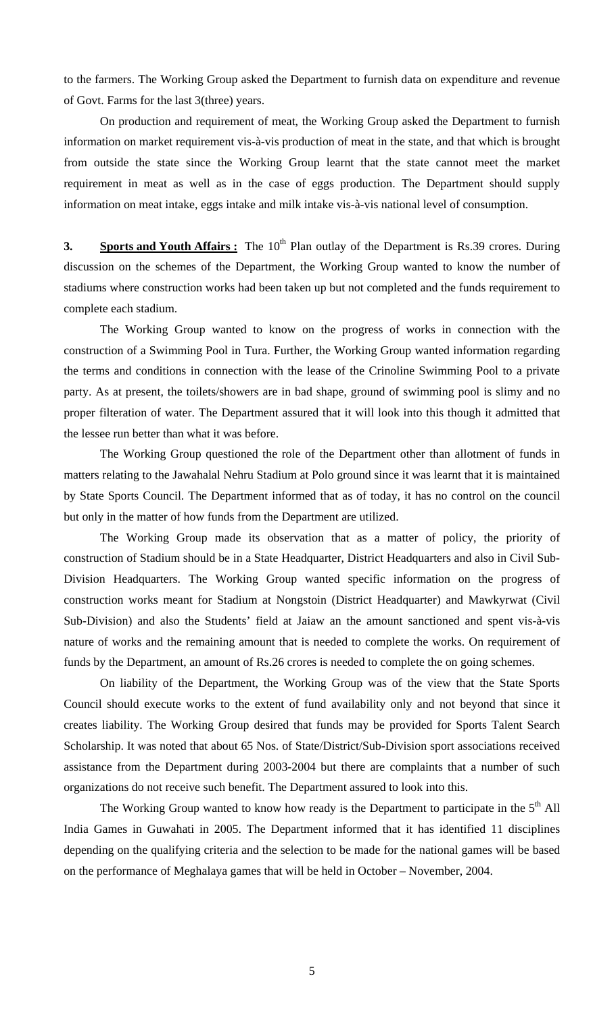to the farmers. The Working Group asked the Department to furnish data on expenditure and revenue of Govt. Farms for the last 3(three) years.

 On production and requirement of meat, the Working Group asked the Department to furnish information on market requirement vis-à-vis production of meat in the state, and that which is brought from outside the state since the Working Group learnt that the state cannot meet the market requirement in meat as well as in the case of eggs production. The Department should supply information on meat intake, eggs intake and milk intake vis-à-vis national level of consumption.

**3. Sports and Youth Affairs :** The 10<sup>th</sup> Plan outlay of the Department is Rs.39 crores. During discussion on the schemes of the Department, the Working Group wanted to know the number of stadiums where construction works had been taken up but not completed and the funds requirement to complete each stadium.

 The Working Group wanted to know on the progress of works in connection with the construction of a Swimming Pool in Tura. Further, the Working Group wanted information regarding the terms and conditions in connection with the lease of the Crinoline Swimming Pool to a private party. As at present, the toilets/showers are in bad shape, ground of swimming pool is slimy and no proper filteration of water. The Department assured that it will look into this though it admitted that the lessee run better than what it was before.

 The Working Group questioned the role of the Department other than allotment of funds in matters relating to the Jawahalal Nehru Stadium at Polo ground since it was learnt that it is maintained by State Sports Council. The Department informed that as of today, it has no control on the council but only in the matter of how funds from the Department are utilized.

 The Working Group made its observation that as a matter of policy, the priority of construction of Stadium should be in a State Headquarter, District Headquarters and also in Civil Sub-Division Headquarters. The Working Group wanted specific information on the progress of construction works meant for Stadium at Nongstoin (District Headquarter) and Mawkyrwat (Civil Sub-Division) and also the Students' field at Jaiaw an the amount sanctioned and spent vis-à-vis nature of works and the remaining amount that is needed to complete the works. On requirement of funds by the Department, an amount of Rs.26 crores is needed to complete the on going schemes.

 On liability of the Department, the Working Group was of the view that the State Sports Council should execute works to the extent of fund availability only and not beyond that since it creates liability. The Working Group desired that funds may be provided for Sports Talent Search Scholarship. It was noted that about 65 Nos. of State/District/Sub-Division sport associations received assistance from the Department during 2003-2004 but there are complaints that a number of such organizations do not receive such benefit. The Department assured to look into this.

The Working Group wanted to know how ready is the Department to participate in the 5<sup>th</sup> All India Games in Guwahati in 2005. The Department informed that it has identified 11 disciplines depending on the qualifying criteria and the selection to be made for the national games will be based on the performance of Meghalaya games that will be held in October – November, 2004.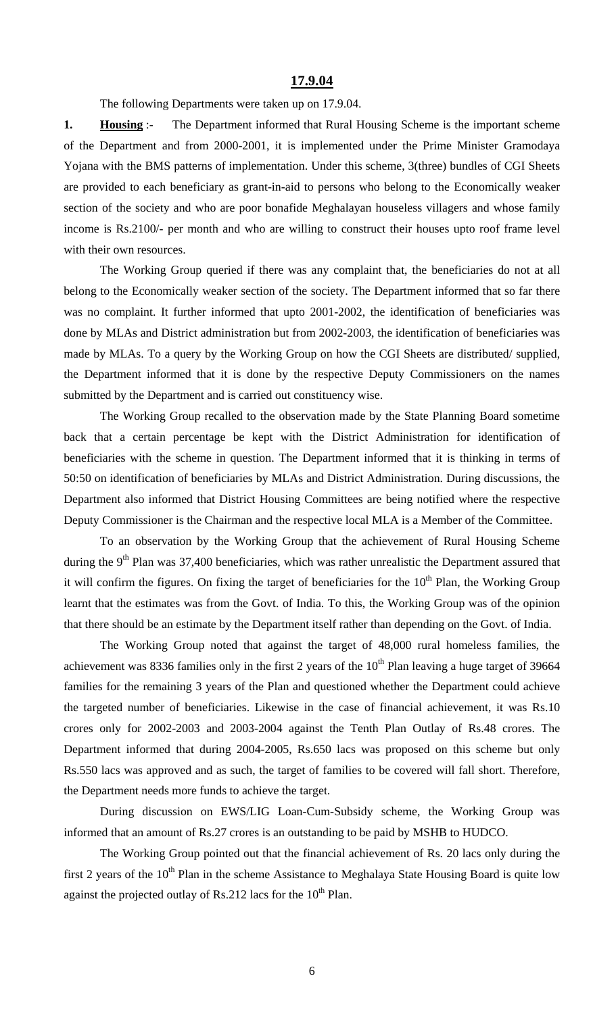### **17.9.04**

The following Departments were taken up on 17.9.04.

**1. Housing** :- The Department informed that Rural Housing Scheme is the important scheme of the Department and from 2000-2001, it is implemented under the Prime Minister Gramodaya Yojana with the BMS patterns of implementation. Under this scheme, 3(three) bundles of CGI Sheets are provided to each beneficiary as grant-in-aid to persons who belong to the Economically weaker section of the society and who are poor bonafide Meghalayan houseless villagers and whose family income is Rs.2100/- per month and who are willing to construct their houses upto roof frame level with their own resources.

 The Working Group queried if there was any complaint that, the beneficiaries do not at all belong to the Economically weaker section of the society. The Department informed that so far there was no complaint. It further informed that upto 2001-2002, the identification of beneficiaries was done by MLAs and District administration but from 2002-2003, the identification of beneficiaries was made by MLAs. To a query by the Working Group on how the CGI Sheets are distributed/ supplied, the Department informed that it is done by the respective Deputy Commissioners on the names submitted by the Department and is carried out constituency wise.

 The Working Group recalled to the observation made by the State Planning Board sometime back that a certain percentage be kept with the District Administration for identification of beneficiaries with the scheme in question. The Department informed that it is thinking in terms of 50:50 on identification of beneficiaries by MLAs and District Administration. During discussions, the Department also informed that District Housing Committees are being notified where the respective Deputy Commissioner is the Chairman and the respective local MLA is a Member of the Committee.

 To an observation by the Working Group that the achievement of Rural Housing Scheme during the  $9<sup>th</sup>$  Plan was 37,400 beneficiaries, which was rather unrealistic the Department assured that it will confirm the figures. On fixing the target of beneficiaries for the  $10<sup>th</sup>$  Plan, the Working Group learnt that the estimates was from the Govt. of India. To this, the Working Group was of the opinion that there should be an estimate by the Department itself rather than depending on the Govt. of India.

 The Working Group noted that against the target of 48,000 rural homeless families, the achievement was 8336 families only in the first 2 years of the  $10^{th}$  Plan leaving a huge target of 39664 families for the remaining 3 years of the Plan and questioned whether the Department could achieve the targeted number of beneficiaries. Likewise in the case of financial achievement, it was Rs.10 crores only for 2002-2003 and 2003-2004 against the Tenth Plan Outlay of Rs.48 crores. The Department informed that during 2004-2005, Rs.650 lacs was proposed on this scheme but only Rs.550 lacs was approved and as such, the target of families to be covered will fall short. Therefore, the Department needs more funds to achieve the target.

 During discussion on EWS/LIG Loan-Cum-Subsidy scheme, the Working Group was informed that an amount of Rs.27 crores is an outstanding to be paid by MSHB to HUDCO.

 The Working Group pointed out that the financial achievement of Rs. 20 lacs only during the first 2 years of the  $10<sup>th</sup>$  Plan in the scheme Assistance to Meghalaya State Housing Board is quite low against the projected outlay of Rs.212 lacs for the  $10<sup>th</sup>$  Plan.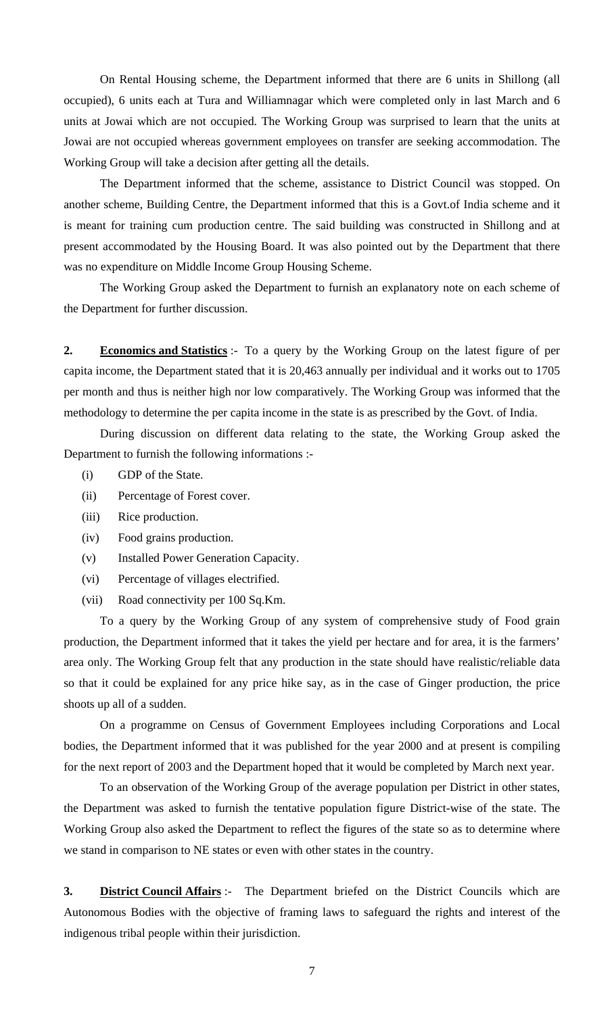On Rental Housing scheme, the Department informed that there are 6 units in Shillong (all occupied), 6 units each at Tura and Williamnagar which were completed only in last March and 6 units at Jowai which are not occupied. The Working Group was surprised to learn that the units at Jowai are not occupied whereas government employees on transfer are seeking accommodation. The Working Group will take a decision after getting all the details.

 The Department informed that the scheme, assistance to District Council was stopped. On another scheme, Building Centre, the Department informed that this is a Govt.of India scheme and it is meant for training cum production centre. The said building was constructed in Shillong and at present accommodated by the Housing Board. It was also pointed out by the Department that there was no expenditure on Middle Income Group Housing Scheme.

 The Working Group asked the Department to furnish an explanatory note on each scheme of the Department for further discussion.

**2. Economics and Statistics** :- To a query by the Working Group on the latest figure of per capita income, the Department stated that it is 20,463 annually per individual and it works out to 1705 per month and thus is neither high nor low comparatively. The Working Group was informed that the methodology to determine the per capita income in the state is as prescribed by the Govt. of India.

 During discussion on different data relating to the state, the Working Group asked the Department to furnish the following informations :-

- (i) GDP of the State.
- (ii) Percentage of Forest cover.
- (iii) Rice production.
- (iv) Food grains production.
- (v) Installed Power Generation Capacity.
- (vi) Percentage of villages electrified.
- (vii) Road connectivity per 100 Sq.Km.

To a query by the Working Group of any system of comprehensive study of Food grain production, the Department informed that it takes the yield per hectare and for area, it is the farmers' area only. The Working Group felt that any production in the state should have realistic/reliable data so that it could be explained for any price hike say, as in the case of Ginger production, the price shoots up all of a sudden.

On a programme on Census of Government Employees including Corporations and Local bodies, the Department informed that it was published for the year 2000 and at present is compiling for the next report of 2003 and the Department hoped that it would be completed by March next year.

To an observation of the Working Group of the average population per District in other states, the Department was asked to furnish the tentative population figure District-wise of the state. The Working Group also asked the Department to reflect the figures of the state so as to determine where we stand in comparison to NE states or even with other states in the country.

**3. District Council Affairs** :- The Department briefed on the District Councils which are Autonomous Bodies with the objective of framing laws to safeguard the rights and interest of the indigenous tribal people within their jurisdiction.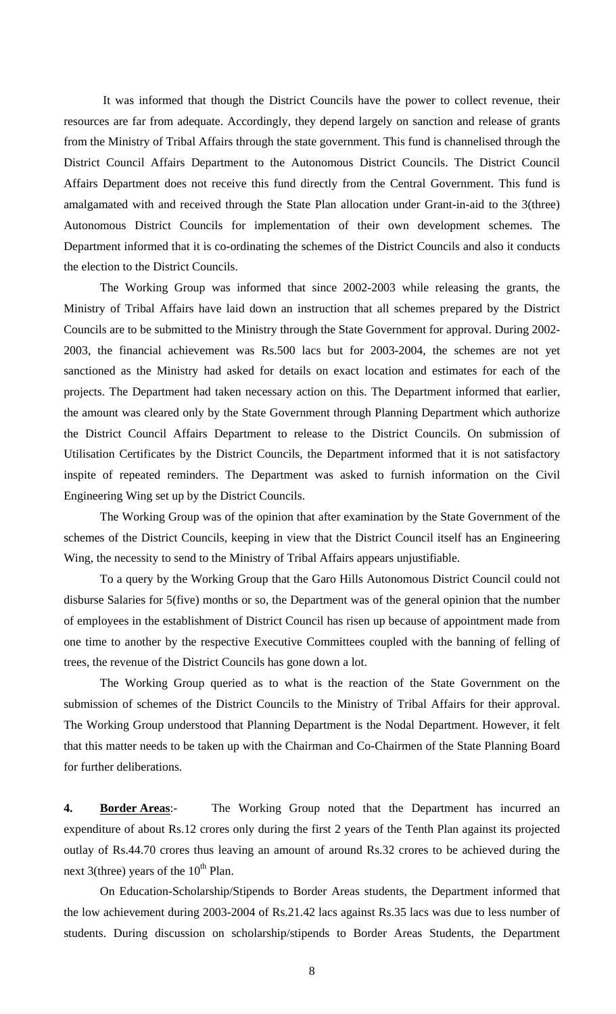It was informed that though the District Councils have the power to collect revenue, their resources are far from adequate. Accordingly, they depend largely on sanction and release of grants from the Ministry of Tribal Affairs through the state government. This fund is channelised through the District Council Affairs Department to the Autonomous District Councils. The District Council Affairs Department does not receive this fund directly from the Central Government. This fund is amalgamated with and received through the State Plan allocation under Grant-in-aid to the 3(three) Autonomous District Councils for implementation of their own development schemes. The Department informed that it is co-ordinating the schemes of the District Councils and also it conducts the election to the District Councils.

 The Working Group was informed that since 2002-2003 while releasing the grants, the Ministry of Tribal Affairs have laid down an instruction that all schemes prepared by the District Councils are to be submitted to the Ministry through the State Government for approval. During 2002- 2003, the financial achievement was Rs.500 lacs but for 2003-2004, the schemes are not yet sanctioned as the Ministry had asked for details on exact location and estimates for each of the projects. The Department had taken necessary action on this. The Department informed that earlier, the amount was cleared only by the State Government through Planning Department which authorize the District Council Affairs Department to release to the District Councils. On submission of Utilisation Certificates by the District Councils, the Department informed that it is not satisfactory inspite of repeated reminders. The Department was asked to furnish information on the Civil Engineering Wing set up by the District Councils.

 The Working Group was of the opinion that after examination by the State Government of the schemes of the District Councils, keeping in view that the District Council itself has an Engineering Wing, the necessity to send to the Ministry of Tribal Affairs appears unjustifiable.

 To a query by the Working Group that the Garo Hills Autonomous District Council could not disburse Salaries for 5(five) months or so, the Department was of the general opinion that the number of employees in the establishment of District Council has risen up because of appointment made from one time to another by the respective Executive Committees coupled with the banning of felling of trees, the revenue of the District Councils has gone down a lot.

 The Working Group queried as to what is the reaction of the State Government on the submission of schemes of the District Councils to the Ministry of Tribal Affairs for their approval. The Working Group understood that Planning Department is the Nodal Department. However, it felt that this matter needs to be taken up with the Chairman and Co-Chairmen of the State Planning Board for further deliberations.

**4. Border Areas**:- The Working Group noted that the Department has incurred an expenditure of about Rs.12 crores only during the first 2 years of the Tenth Plan against its projected outlay of Rs.44.70 crores thus leaving an amount of around Rs.32 crores to be achieved during the next 3(three) years of the  $10^{th}$  Plan.

 On Education-Scholarship/Stipends to Border Areas students, the Department informed that the low achievement during 2003-2004 of Rs.21.42 lacs against Rs.35 lacs was due to less number of students. During discussion on scholarship/stipends to Border Areas Students, the Department